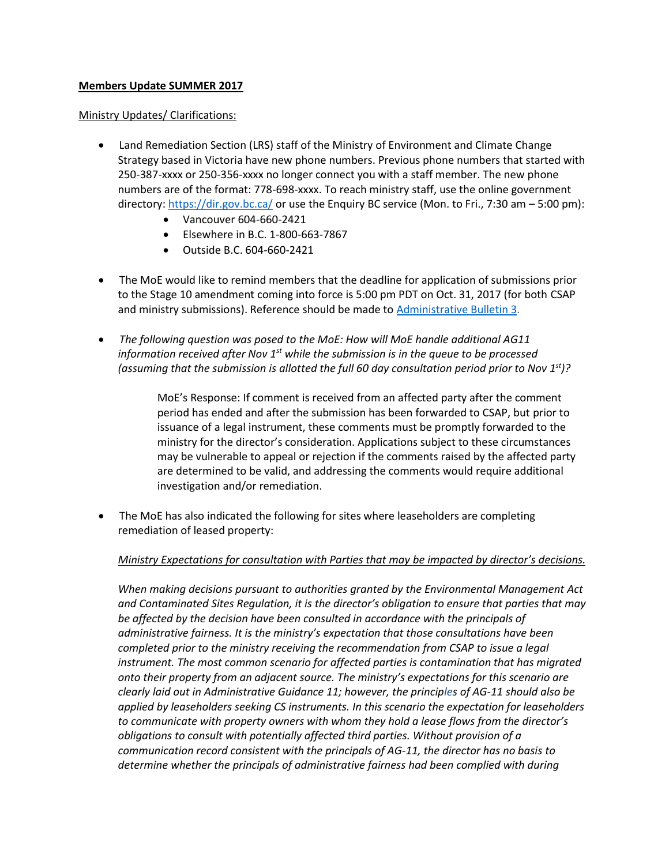## **Members Update SUMMER 2017**

#### Ministry Updates/ Clarifications:

- Land Remediation Section (LRS) staff of the Ministry of Environment and Climate Change Strategy based in Victoria have new phone numbers. Previous phone numbers that started with 250-387-xxxx or 250-356-xxxx no longer connect you with a staff member. The new phone numbers are of the format: 778-698-xxxx. To reach ministry staff, use the online government directory:<https://dir.gov.bc.ca/> or use the Enquiry BC service (Mon. to Fri., 7:30 am – 5:00 pm):
	- Vancouver 604-660-2421
	- Elsewhere in B.C. 1-800-663-7867
	- Outside B.C. 604-660-2421
- The MoE would like to remind members that the deadline for application of submissions prior to the Stage 10 amendment coming into force is 5:00 pm PDT on Oct. 31, 2017 (for both CSAP and ministry submissions). Reference should be made to [Administrative Bulletin 3.](http://www2.gov.bc.ca/assets/gov/environment/air-land-water/site-remediation/docs/bulletins/admin_bulletin_submission_guidance_stage_10_amendment.pdf)
- *The following question was posed to the MoE: How will MoE handle additional AG11 information received after Nov 1st while the submission is in the queue to be processed (assuming that the submission is allotted the full 60 day consultation period prior to Nov 1st)?*

MoE's Response: If comment is received from an affected party after the comment period has ended and after the submission has been forwarded to CSAP, but prior to issuance of a legal instrument, these comments must be promptly forwarded to the ministry for the director's consideration. Applications subject to these circumstances may be vulnerable to appeal or rejection if the comments raised by the affected party are determined to be valid, and addressing the comments would require additional investigation and/or remediation.

 The MoE has also indicated the following for sites where leaseholders are completing remediation of leased property:

## *Ministry Expectations for consultation with Parties that may be impacted by director's decisions.*

*When making decisions pursuant to authorities granted by the Environmental Management Act and Contaminated Sites Regulation, it is the director's obligation to ensure that parties that may be affected by the decision have been consulted in accordance with the principals of administrative fairness. It is the ministry's expectation that those consultations have been completed prior to the ministry receiving the recommendation from CSAP to issue a legal instrument. The most common scenario for affected parties is contamination that has migrated onto their property from an adjacent source. The ministry's expectations for this scenario are clearly laid out in Administrative Guidance 11; however, the principles of AG-11 should also be applied by leaseholders seeking CS instruments. In this scenario the expectation for leaseholders to communicate with property owners with whom they hold a lease flows from the director's obligations to consult with potentially affected third parties. Without provision of a communication record consistent with the principals of AG-11, the director has no basis to determine whether the principals of administrative fairness had been complied with during*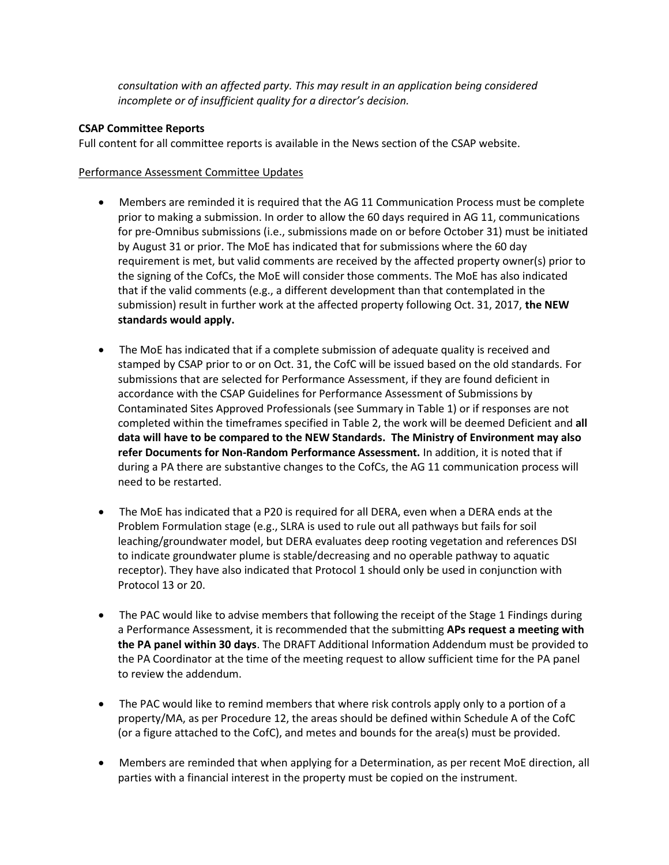*consultation with an affected party. This may result in an application being considered incomplete or of insufficient quality for a director's decision.*

# **CSAP Committee Reports**

Full content for all committee reports is available in the News section of the CSAP website.

# Performance Assessment Committee Updates

- Members are reminded it is required that the AG 11 Communication Process must be complete prior to making a submission. In order to allow the 60 days required in AG 11, communications for pre-Omnibus submissions (i.e., submissions made on or before October 31) must be initiated by August 31 or prior. The MoE has indicated that for submissions where the 60 day requirement is met, but valid comments are received by the affected property owner(s) prior to the signing of the CofCs, the MoE will consider those comments. The MoE has also indicated that if the valid comments (e.g., a different development than that contemplated in the submission) result in further work at the affected property following Oct. 31, 2017, **the NEW standards would apply.**
- The MoE has indicated that if a complete submission of adequate quality is received and stamped by CSAP prior to or on Oct. 31, the CofC will be issued based on the old standards. For submissions that are selected for Performance Assessment, if they are found deficient in accordance with the CSAP Guidelines for Performance Assessment of Submissions by Contaminated Sites Approved Professionals (see Summary in Table 1) or if responses are not completed within the timeframes specified in Table 2, the work will be deemed Deficient and **all data will have to be compared to the NEW Standards. The Ministry of Environment may also refer Documents for Non-Random Performance Assessment.** In addition, it is noted that if during a PA there are substantive changes to the CofCs, the AG 11 communication process will need to be restarted.
- The MoE has indicated that a P20 is required for all DERA, even when a DERA ends at the Problem Formulation stage (e.g., SLRA is used to rule out all pathways but fails for soil leaching/groundwater model, but DERA evaluates deep rooting vegetation and references DSI to indicate groundwater plume is stable/decreasing and no operable pathway to aquatic receptor). They have also indicated that Protocol 1 should only be used in conjunction with Protocol 13 or 20.
- The PAC would like to advise members that following the receipt of the Stage 1 Findings during a Performance Assessment, it is recommended that the submitting **APs request a meeting with the PA panel within 30 days**. The DRAFT Additional Information Addendum must be provided to the PA Coordinator at the time of the meeting request to allow sufficient time for the PA panel to review the addendum.
- The PAC would like to remind members that where risk controls apply only to a portion of a property/MA, as per Procedure 12, the areas should be defined within Schedule A of the CofC (or a figure attached to the CofC), and metes and bounds for the area(s) must be provided.
- Members are reminded that when applying for a Determination, as per recent MoE direction, all parties with a financial interest in the property must be copied on the instrument.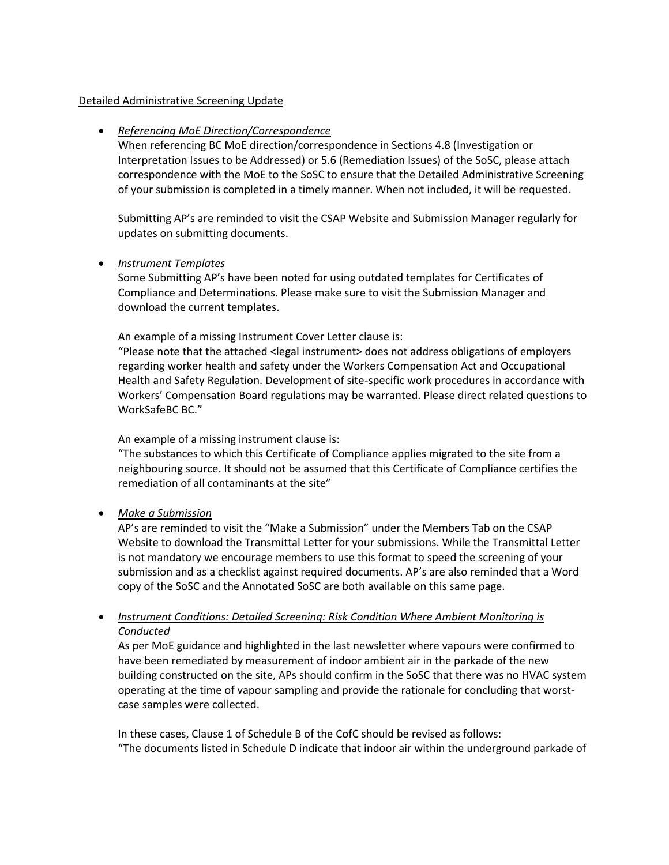#### Detailed Administrative Screening Update

## *Referencing MoE Direction/Correspondence*

When referencing BC MoE direction/correspondence in Sections 4.8 (Investigation or Interpretation Issues to be Addressed) or 5.6 (Remediation Issues) of the SoSC, please attach correspondence with the MoE to the SoSC to ensure that the Detailed Administrative Screening of your submission is completed in a timely manner. When not included, it will be requested.

Submitting AP's are reminded to visit the CSAP Website and Submission Manager regularly for updates on submitting documents.

#### *Instrument Templates*

Some Submitting AP's have been noted for using outdated templates for Certificates of Compliance and Determinations. Please make sure to visit the Submission Manager and download the current templates.

An example of a missing Instrument Cover Letter clause is:

"Please note that the attached <legal instrument> does not address obligations of employers regarding worker health and safety under the Workers Compensation Act and Occupational Health and Safety Regulation. Development of site-specific work procedures in accordance with Workers' Compensation Board regulations may be warranted. Please direct related questions to WorkSafeBC BC."

An example of a missing instrument clause is:

"The substances to which this Certificate of Compliance applies migrated to the site from a neighbouring source. It should not be assumed that this Certificate of Compliance certifies the remediation of all contaminants at the site"

## *Make a Submission*

AP's are reminded to visit the "Make a Submission" under the Members Tab on the CSAP Website to download the Transmittal Letter for your submissions. While the Transmittal Letter is not mandatory we encourage members to use this format to speed the screening of your submission and as a checklist against required documents. AP's are also reminded that a Word copy of the SoSC and the Annotated SoSC are both available on this same page.

# *Instrument Conditions: Detailed Screening: Risk Condition Where Ambient Monitoring is Conducted*

As per MoE guidance and highlighted in the last newsletter where vapours were confirmed to have been remediated by measurement of indoor ambient air in the parkade of the new building constructed on the site, APs should confirm in the SoSC that there was no HVAC system operating at the time of vapour sampling and provide the rationale for concluding that worstcase samples were collected.

In these cases, Clause 1 of Schedule B of the CofC should be revised as follows: "The documents listed in Schedule D indicate that indoor air within the underground parkade of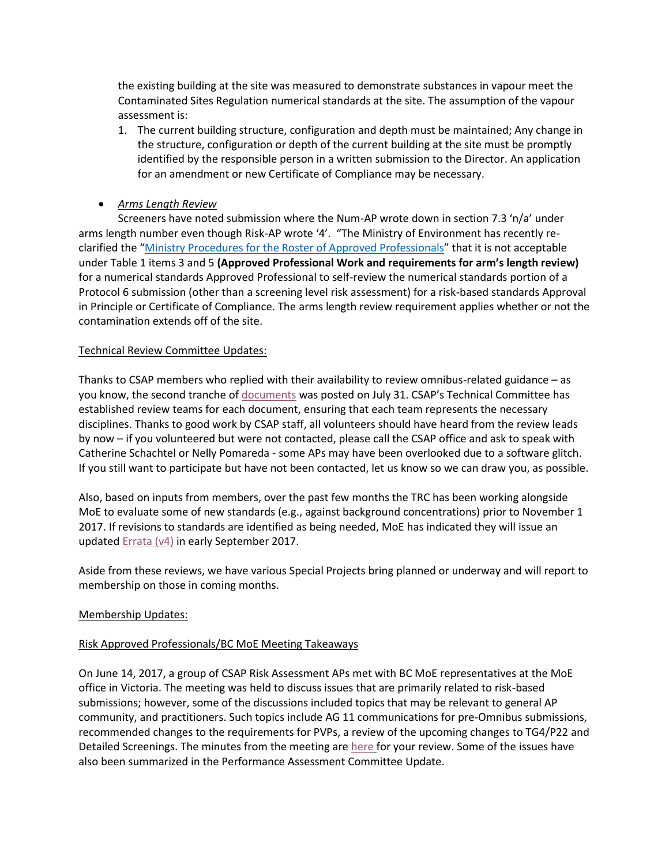the existing building at the site was measured to demonstrate substances in vapour meet the Contaminated Sites Regulation numerical standards at the site. The assumption of the vapour assessment is:

- 1. The current building structure, configuration and depth must be maintained; Any change in the structure, configuration or depth of the current building at the site must be promptly identified by the responsible person in a written submission to the Director. An application for an amendment or new Certificate of Compliance may be necessary.
- *Arms Length Review*

Screeners have noted submission where the Num-AP wrote down in section 7.3 'n/a' under arms length number even though Risk-AP wrote '4'. "The Ministry of Environment has recently reclarified the "[Ministry Procedures for the Roster of Approved Professionals](http://www.env.gov.bc.ca/epd/remediation/policy_procedure_protocol/procedure/pdf/roster_procedure.pdf)" that it is not acceptable under Table 1 items 3 and 5 **(Approved Professional Work and requirements for arm's length review)**  for a numerical standards Approved Professional to self-review the numerical standards portion of a Protocol 6 submission (other than a screening level risk assessment) for a risk-based standards Approval in Principle or Certificate of Compliance. The arms length review requirement applies whether or not the contamination extends off of the site.

## Technical Review Committee Updates:

Thanks to CSAP members who replied with their availability to review omnibus-related guidance – as you know, the second tranche of [documents](http://www2.gov.bc.ca/gov/content/environment/air-land-water/site-remediation/guidance-resources/requests-for-comments) was posted on July 31. CSAP's Technical Committee has established review teams for each document, ensuring that each team represents the necessary disciplines. Thanks to good work by CSAP staff, all volunteers should have heard from the review leads by now – if you volunteered but were not contacted, please call the CSAP office and ask to speak with Catherine Schachtel or Nelly Pomareda - some APs may have been overlooked due to a software glitch. If you still want to participate but have not been contacted, let us know so we can draw you, as possible.

Also, based on inputs from members, over the past few months the TRC has been working alongside MoE to evaluate some of new standards (e.g., against background concentrations) prior to November 1 2017. If revisions to standards are identified as being needed, MoE has indicated they will issue an updated [Errata \(v4\)](http://www2.gov.bc.ca/assets/gov/environment/air-land-water/site-remediation/docs/bulletins/errata.pdf) in early September 2017.

Aside from these reviews, we have various Special Projects bring planned or underway and will report to membership on those in coming months.

## Membership Updates:

## Risk Approved Professionals/BC MoE Meeting Takeaways

On June 14, 2017, a group of CSAP Risk Assessment APs met with BC MoE representatives at the MoE office in Victoria. The meeting was held to discuss issues that are primarily related to risk-based submissions; however, some of the discussions included topics that may be relevant to general AP community, and practitioners. Such topics include AG 11 communications for pre-Omnibus submissions, recommended changes to the requirements for PVPs, a review of the upcoming changes to TG4/P22 and Detailed Screenings. The minutes from the meeting are [here](http://csapsociety.bc.ca/wp/wp-content/uploads/June-14-2017-RAAP-MOE-Meeting-Minutes-Final_V2-rev-Aug-1.pdf) for your review. Some of the issues have also been summarized in the Performance Assessment Committee Update.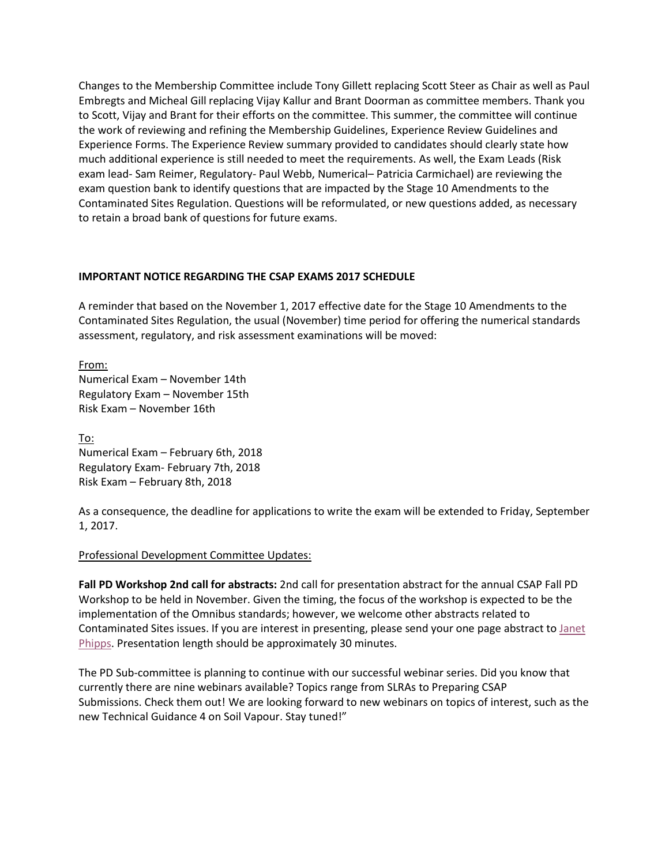Changes to the Membership Committee include Tony Gillett replacing Scott Steer as Chair as well as Paul Embregts and Micheal Gill replacing Vijay Kallur and Brant Doorman as committee members. Thank you to Scott, Vijay and Brant for their efforts on the committee. This summer, the committee will continue the work of reviewing and refining the Membership Guidelines, Experience Review Guidelines and Experience Forms. The Experience Review summary provided to candidates should clearly state how much additional experience is still needed to meet the requirements. As well, the Exam Leads (Risk exam lead- Sam Reimer, Regulatory- Paul Webb, Numerical– Patricia Carmichael) are reviewing the exam question bank to identify questions that are impacted by the Stage 10 Amendments to the Contaminated Sites Regulation. Questions will be reformulated, or new questions added, as necessary to retain a broad bank of questions for future exams.

## **IMPORTANT NOTICE REGARDING THE CSAP EXAMS 2017 SCHEDULE**

A reminder that based on the November 1, 2017 effective date for the Stage 10 Amendments to the Contaminated Sites Regulation, the usual (November) time period for offering the numerical standards assessment, regulatory, and risk assessment examinations will be moved:

From: Numerical Exam – November 14th Regulatory Exam – November 15th Risk Exam – November 16th

To: Numerical Exam – February 6th, 2018 Regulatory Exam- February 7th, 2018 Risk Exam – February 8th, 2018

As a consequence, the deadline for applications to write the exam will be extended to Friday, September 1, 2017.

## Professional Development Committee Updates:

**Fall PD Workshop 2nd call for abstracts:** 2nd call for presentation abstract for the annual CSAP Fall PD Workshop to be held in November. Given the timing, the focus of the workshop is expected to be the implementation of the Omnibus standards; however, we welcome other abstracts related to Contaminated Sites issues. If you are interest in presenting, please send your one page abstract to [Janet](mailto:communications@csapsociety.bc.ca)  [Phipps.](mailto:communications@csapsociety.bc.ca) Presentation length should be approximately 30 minutes.

The PD Sub-committee is planning to continue with our successful webinar series. Did you know that currently there are nine webinars available? Topics range from SLRAs to Preparing CSAP Submissions. Check them out! We are looking forward to new webinars on topics of interest, such as the new Technical Guidance 4 on Soil Vapour. Stay tuned!"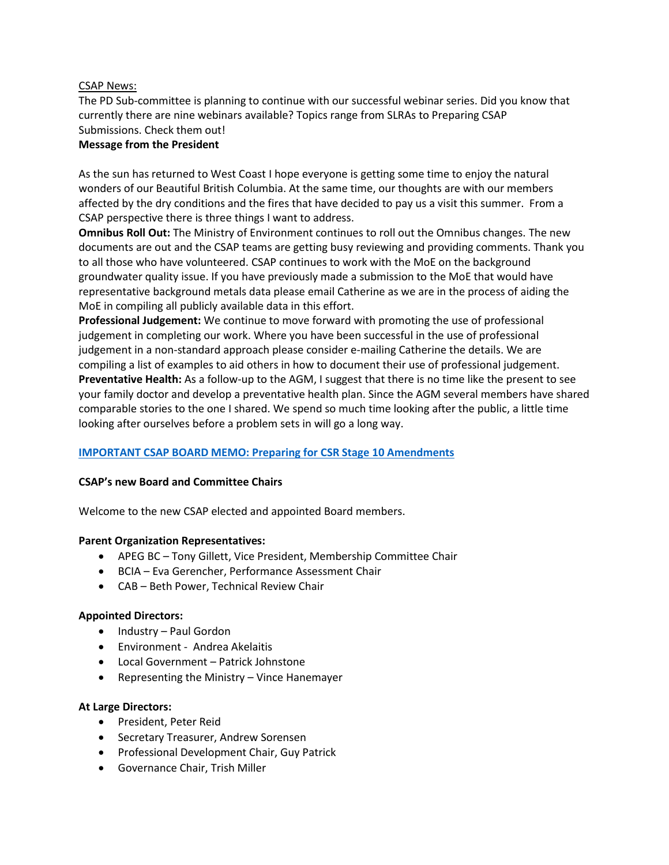# CSAP News:

The PD Sub-committee is planning to continue with our successful webinar series. Did you know that currently there are nine webinars available? Topics range from SLRAs to Preparing CSAP Submissions. Check them out! **Message from the President**

As the sun has returned to West Coast I hope everyone is getting some time to enjoy the natural wonders of our Beautiful British Columbia. At the same time, our thoughts are with our members affected by the dry conditions and the fires that have decided to pay us a visit this summer. From a CSAP perspective there is three things I want to address.

**Omnibus Roll Out:** The Ministry of Environment continues to roll out the Omnibus changes. The new documents are out and the CSAP teams are getting busy reviewing and providing comments. Thank you to all those who have volunteered. CSAP continues to work with the MoE on the background groundwater quality issue. If you have previously made a submission to the MoE that would have representative background metals data please email Catherine as we are in the process of aiding the MoE in compiling all publicly available data in this effort.

**Professional Judgement:** We continue to move forward with promoting the use of professional judgement in completing our work. Where you have been successful in the use of professional judgement in a non-standard approach please consider e-mailing Catherine the details. We are compiling a list of examples to aid others in how to document their use of professional judgement. **Preventative Health:** As a follow-up to the AGM, I suggest that there is no time like the present to see your family doctor and develop a preventative health plan. Since the AGM several members have shared comparable stories to the one I shared. We spend so much time looking after the public, a little time looking after ourselves before a problem sets in will go a long way.

# **IMPORTANT [CSAP BOARD](CSAP%20BOARD%20MEMO.pdf) MEMO: [Preparing for CSR Stage 10 Amendments](file://///192.168.10.51/data/COMMUNICATIONS/CSAP%20MEMBERS%20UPDATES/Updates%202017_18/2_SUMMER%202017/CSAP%20BOARD%20MEMO.pdf)**

## **CSAP's new Board and Committee Chairs**

Welcome to the new CSAP elected and appointed Board members.

## **Parent Organization Representatives:**

- APEG BC Tony Gillett, Vice President, Membership Committee Chair
- BCIA Eva Gerencher, Performance Assessment Chair
- CAB Beth Power, Technical Review Chair

## **Appointed Directors:**

- Industry Paul Gordon
- Environment Andrea Akelaitis
- Local Government Patrick Johnstone
- Representing the Ministry Vince Hanemayer

## **At Large Directors:**

- President, Peter Reid
- Secretary Treasurer, Andrew Sorensen
- Professional Development Chair, Guy Patrick
- Governance Chair, Trish Miller